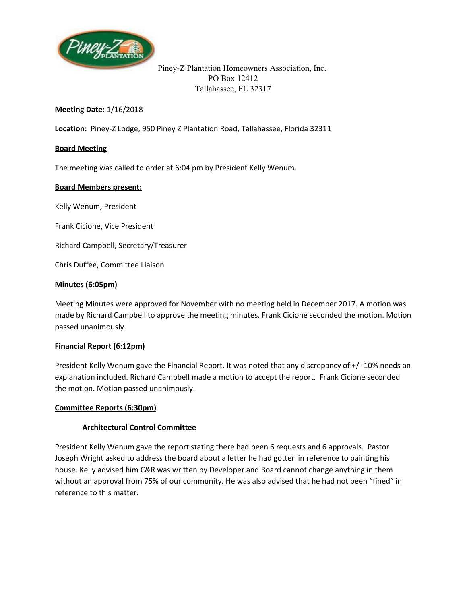

Piney-Z Plantation Homeowners Association, Inc. PO Box 12412 Tallahassee, FL 32317

### **Meeting Date:** 1/16/2018

**Location:** Piney-Z Lodge, 950 Piney Z Plantation Road, Tallahassee, Florida 32311

### **Board Meeting**

The meeting was called to order at 6:04 pm by President Kelly Wenum.

### **Board Members present:**

Kelly Wenum, President

Frank Cicione, Vice President

Richard Campbell, Secretary/Treasurer

Chris Duffee, Committee Liaison

### **Minutes (6:05pm)**

Meeting Minutes were approved for November with no meeting held in December 2017. A motion was made by Richard Campbell to approve the meeting minutes. Frank Cicione seconded the motion. Motion passed unanimously.

### **Financial Report (6:12pm)**

President Kelly Wenum gave the Financial Report. It was noted that any discrepancy of +/- 10% needs an explanation included. Richard Campbell made a motion to accept the report. Frank Cicione seconded the motion. Motion passed unanimously.

### **Committee Reports (6:30pm)**

### **Architectural Control Committee**

President Kelly Wenum gave the report stating there had been 6 requests and 6 approvals. Pastor Joseph Wright asked to address the board about a letter he had gotten in reference to painting his house. Kelly advised him C&R was written by Developer and Board cannot change anything in them without an approval from 75% of our community. He was also advised that he had not been "fined" in reference to this matter.